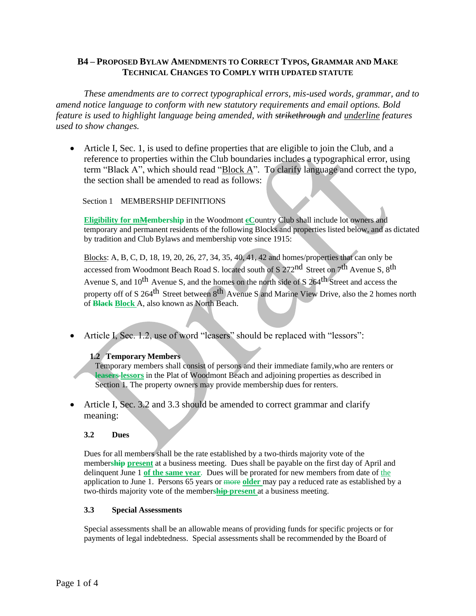# **B4 – PROPOSED BYLAW AMENDMENTS TO CORRECT TYPOS, GRAMMAR AND MAKE TECHNICAL CHANGES TO COMPLY WITH UPDATED STATUTE**

*These amendments are to correct typographical errors, mis-used words, grammar, and to amend notice language to conform with new statutory requirements and email options. Bold feature is used to highlight language being amended, with strikethrough and underline features used to show changes.* 

• Article I, Sec. 1, is used to define properties that are eligible to join the Club, and a reference to properties within the Club boundaries includes a typographical error, using term "Black A", which should read " $\frac{Block A''}{}$ . To clarify language and correct the typo, the section shall be amended to read as follows:

Section 1 MEMBERSHIP DEFINITIONS

**Eligibility for mMembership** in the Woodmont **cC**ountry Club shall include lot owners and temporary and permanent residents of the following Blocks and properties listed below, and as dictated by tradition and Club Bylaws and membership vote since 1915:

Blocks: A, B, C, D, 18, 19, 20, 26, 27, 34, 35, 40, 41, 42 and homes/properties that can only be accessed from Woodmont Beach Road S. located south of S 272nd Street on 7th Avenue S, 8th Avenue S, and 10<sup>th</sup> Avenue S, and the homes on the north side of S 264<sup>th</sup> Street and access the property off of S 264<sup>th</sup> Street between 8<sup>th</sup> Avenue S and Marine View Drive, also the 2 homes north of **Black Block** A, also known as North Beach.

• Article I, Sec. 1.2, use of word "leasers" should be replaced with "lessors":

## **1.2 Temporary Members**

Temporary members shall consist of persons and their immediate family,who are renters or **leasers lessors** in the Plat of Woodmont Beach and adjoining properties as described in Section 1. The property owners may provide membership dues for renters.

• Article I, Sec. 3.2 and 3.3 should be amended to correct grammar and clarify meaning:

## **3.2 Dues**

Dues for all members shall be the rate established by a two-thirds majority vote of the member**ship present** at a business meeting. Dues shall be payable on the first day of April and delinquent June 1 **of the same year**. Dues will be prorated for new members from date of the application to June 1. Persons 65 years or more **older** may pay a reduced rate as established by a two-thirds majority vote of the member**ship present** at a business meeting.

#### **3.3 Special Assessments**

Special assessments shall be an allowable means of providing funds for specific projects or for payments of legal indebtedness. Special assessments shall be recommended by the Board of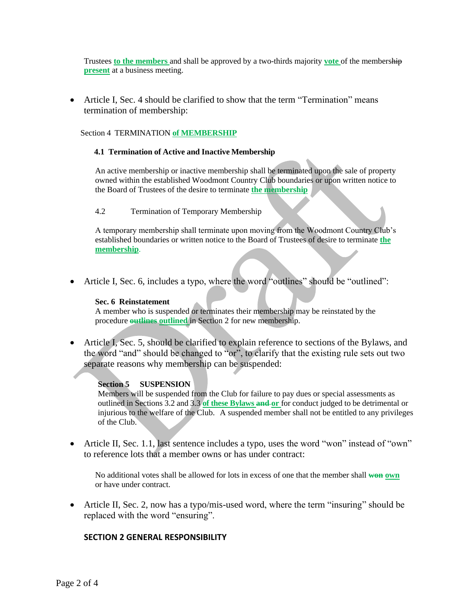Trustees **to the members** and shall be approved by a two-thirds majority **vote** of the membership **present** at a business meeting.

• Article I, Sec. 4 should be clarified to show that the term "Termination" means termination of membership:

Section 4 TERMINATION **of MEMBERSHIP**

#### **4.1 Termination of Active and Inactive Membership**

An active membership or inactive membership shall be terminated upon the sale of property owned within the established Woodmont Country Club boundaries or upon written notice to the Board of Trustees of the desire to terminate **the membership**

#### 4.2 Termination of Temporary Membership

A temporary membership shall terminate upon moving from the Woodmont Country Club's established boundaries or written notice to the Board of Trustees of desire to terminate **the membership**.

• Article I, Sec. 6, includes a typo, where the word "outlines" should be "outlined":

#### **Sec. 6 Reinstatement**

A member who is suspended or terminates their membership may be reinstated by the procedure **outlines outlined** in Section 2 for new membership.

• Article I, Sec. 5, should be clarified to explain reference to sections of the Bylaws, and the word "and" should be changed to "or", to clarify that the existing rule sets out two separate reasons why membership can be suspended:

## **Section 5 SUSPENSION**

Members will be suspended from the Club for failure to pay dues or special assessments as outlined in Sections 3.2 and 3.3 **of these Bylaws and or** for conduct judged to be detrimental or injurious to the welfare of the Club. A suspended member shall not be entitled to any privileges of the Club.

• Article II, Sec. 1.1, last sentence includes a typo, uses the word "won" instead of "own" to reference lots that a member owns or has under contract:

No additional votes shall be allowed for lots in excess of one that the member shall **won own** or have under contract.

• Article II, Sec. 2, now has a typo/mis-used word, where the term "insuring" should be replaced with the word "ensuring".

# **SECTION 2 GENERAL RESPONSIBILITY**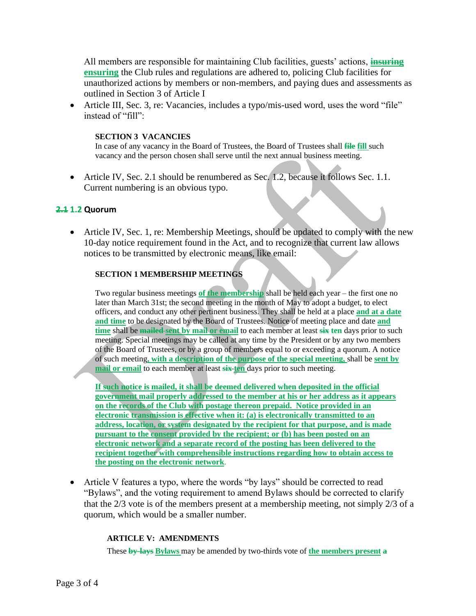All members are responsible for maintaining Club facilities, guests' actions, **insuring ensuring** the Club rules and regulations are adhered to, policing Club facilities for unauthorized actions by members or non-members, and paying dues and assessments as outlined in Section 3 of Article I

• Article III, Sec. 3, re: Vacancies, includes a typo/mis-used word, uses the word "file" instead of "fill":

### **SECTION 3 VACANCIES**

In case of any vacancy in the Board of Trustees, the Board of Trustees shall **file fill** such vacancy and the person chosen shall serve until the next annual business meeting.

• Article IV, Sec. 2.1 should be renumbered as Sec. 1.2, because it follows Sec. 1.1. Current numbering is an obvious typo.

## **2.1 1.2 Quorum**

• Article IV, Sec. 1, re: Membership Meetings, should be updated to comply with the new 10-day notice requirement found in the Act, and to recognize that current law allows notices to be transmitted by electronic means, like email:

## **SECTION 1 MEMBERSHIP MEETINGS**

Two regular business meetings **of the membership** shall be held each year – the first one no later than March 31st; the second meeting in the month of May to adopt a budget, to elect officers, and conduct any other pertinent business. They shall be held at a place **and at a date and time** to be designated by the Board of Trustees. Notice of meeting place and date **and time** shall be **mailed sent by mail or email** to each member at least **six ten** days prior to such meeting. Special meetings may be called at any time by the President or by any two members of the Board of Trustees, or by a group of members equal to or exceeding a quorum. A notice of such meeting**, with a description of the purpose of the special meeting,** shall be **sent by mail or email** to each member at least **six ten** days prior to such meeting.

**If such notice is mailed, it shall be deemed delivered when deposited in the official government mail properly addressed to the member at his or her address as it appears on the records of the Club with postage thereon prepaid. Notice provided in an electronic transmission is effective when it: (a) is electronically transmitted to an address, location, or system designated by the recipient for that purpose, and is made pursuant to the consent provided by the recipient; or (b) has been posted on an electronic network and a separate record of the posting has been delivered to the recipient together with comprehensible instructions regarding how to obtain access to the posting on the electronic network**.

• Article V features a typo, where the words "by lays" should be corrected to read "Bylaws", and the voting requirement to amend Bylaws should be corrected to clarify that the 2/3 vote is of the members present at a membership meeting, not simply 2/3 of a quorum, which would be a smaller number.

#### **ARTICLE V: AMENDMENTS**

These **by-lays Bylaws** may be amended by two-thirds vote of **the members present a**